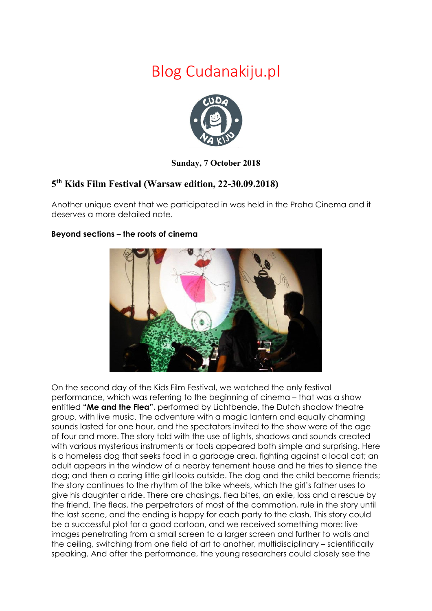## Blog Cudanakiju.pl



## **Sunday, 7 October 2018**

## **5th Kids Film Festival (Warsaw edition, 22-30.09.2018)**

Another unique event that we participated in was held in the Praha Cinema and it deserves a more detailed note.



## **Beyond sections – the roots of cinema**

On the second day of the Kids Film Festival, we watched the only festival performance, which was referring to the beginning of cinema – that was a show entitled **"Me and the Flea"**, performed by Lichtbende, the Dutch shadow theatre group, with live music. The adventure with a magic lantern and equally charming sounds lasted for one hour, and the spectators invited to the show were of the age of four and more. The story told with the use of lights, shadows and sounds created with various mysterious instruments or tools appeared both simple and surprising. Here is a homeless dog that seeks food in a garbage area, fighting against a local cat; an adult appears in the window of a nearby tenement house and he tries to silence the dog; and then a caring little girl looks outside. The dog and the child become friends; the story continues to the rhythm of the bike wheels, which the girl's father uses to give his daughter a ride. There are chasings, flea bites, an exile, loss and a rescue by the friend. The fleas, the perpetrators of most of the commotion, rule in the story until the last scene, and the ending is happy for each party to the clash. This story could be a successful plot for a good cartoon, and we received something more: live images penetrating from a small screen to a larger screen and further to walls and the ceiling, switching from one field of art to another, multidisciplinary – scientifically speaking. And after the performance, the young researchers could closely see the